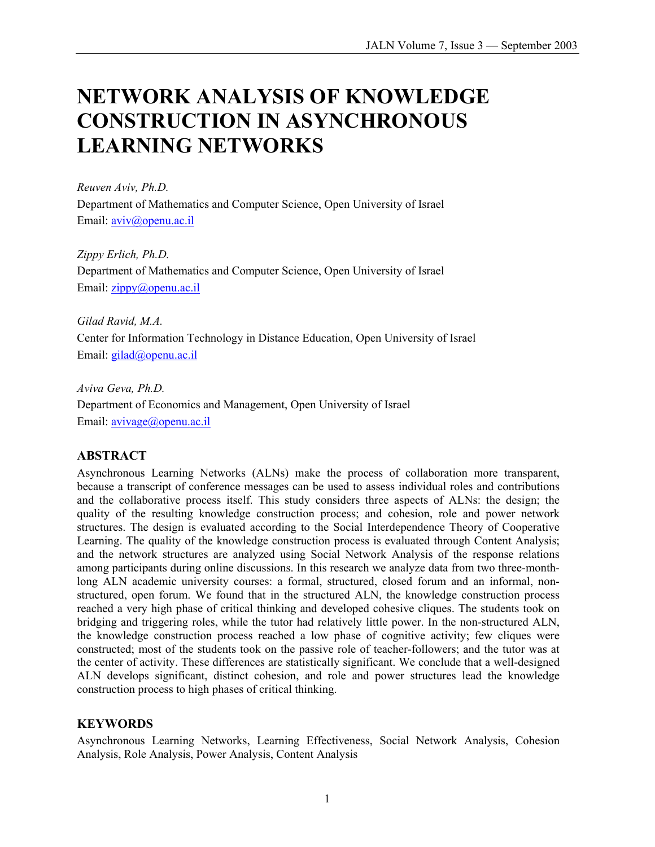# **NETWORK ANALYSIS OF KNOWLEDGE CONSTRUCTION IN ASYNCHRONOUS LEARNING NETWORKS**

*Reuven Aviv, Ph.D.*  Department of Mathematics and Computer Science, Open University of Israel Email: aviv@openu.ac.il

*Zippy Erlich, Ph.D.*  Department of Mathematics and Computer Science, Open University of Israel Email: zippy@openu.ac.il

*Gilad Ravid, M.A.*  Center for Information Technology in Distance Education, Open University of Israel Email: gilad@openu.ac.il

*Aviva Geva, Ph.D.*  Department of Economics and Management, Open University of Israel Email: avivage@openu.ac.il

## **ABSTRACT**

Asynchronous Learning Networks (ALNs) make the process of collaboration more transparent, because a transcript of conference messages can be used to assess individual roles and contributions and the collaborative process itself. This study considers three aspects of ALNs: the design; the quality of the resulting knowledge construction process; and cohesion, role and power network structures. The design is evaluated according to the Social Interdependence Theory of Cooperative Learning. The quality of the knowledge construction process is evaluated through Content Analysis; and the network structures are analyzed using Social Network Analysis of the response relations among participants during online discussions. In this research we analyze data from two three-monthlong ALN academic university courses: a formal, structured, closed forum and an informal, nonstructured, open forum. We found that in the structured ALN, the knowledge construction process reached a very high phase of critical thinking and developed cohesive cliques. The students took on bridging and triggering roles, while the tutor had relatively little power. In the non-structured ALN, the knowledge construction process reached a low phase of cognitive activity; few cliques were constructed; most of the students took on the passive role of teacher-followers; and the tutor was at the center of activity. These differences are statistically significant. We conclude that a well-designed ALN develops significant, distinct cohesion, and role and power structures lead the knowledge construction process to high phases of critical thinking.

### **KEYWORDS**

Asynchronous Learning Networks, Learning Effectiveness, Social Network Analysis, Cohesion Analysis, Role Analysis, Power Analysis, Content Analysis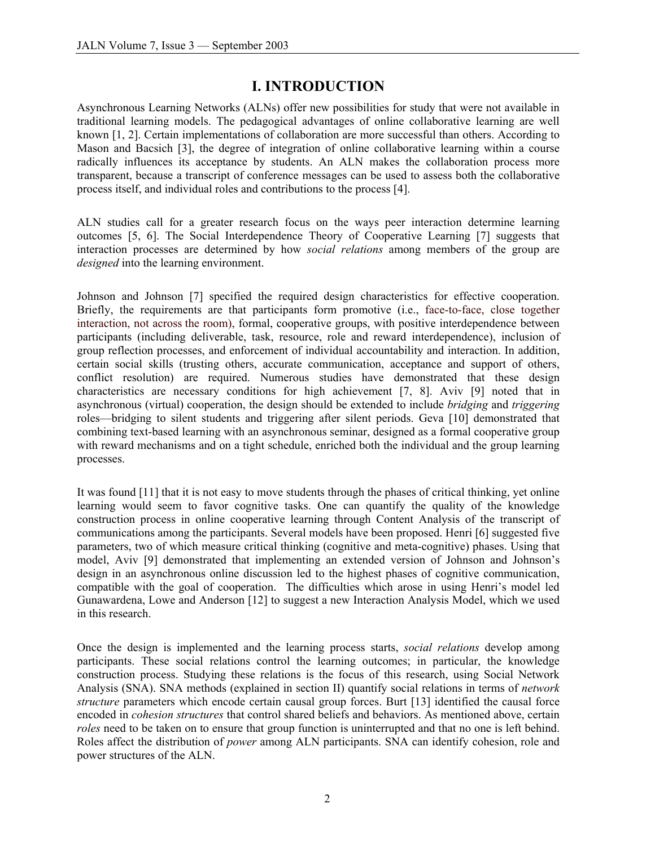# **I. INTRODUCTION**

Asynchronous Learning Networks (ALNs) offer new possibilities for study that were not available in traditional learning models. The pedagogical advantages of online collaborative learning are well known [1, 2]. Certain implementations of collaboration are more successful than others. According to Mason and Bacsich [3], the degree of integration of online collaborative learning within a course radically influences its acceptance by students. An ALN makes the collaboration process more transparent, because a transcript of conference messages can be used to assess both the collaborative process itself, and individual roles and contributions to the process [4].

ALN studies call for a greater research focus on the ways peer interaction determine learning outcomes [5, 6]. The Social Interdependence Theory of Cooperative Learning [7] suggests that interaction processes are determined by how *social relations* among members of the group are *designed* into the learning environment.

Johnson and Johnson [7] specified the required design characteristics for effective cooperation. Briefly, the requirements are that participants form promotive (i.e., face-to-face, close together interaction, not across the room), formal, cooperative groups, with positive interdependence between participants (including deliverable, task, resource, role and reward interdependence), inclusion of group reflection processes, and enforcement of individual accountability and interaction. In addition, certain social skills (trusting others, accurate communication, acceptance and support of others, conflict resolution) are required. Numerous studies have demonstrated that these design characteristics are necessary conditions for high achievement [7, 8]. Aviv [9] noted that in asynchronous (virtual) cooperation, the design should be extended to include *bridging* and *triggering* roles—bridging to silent students and triggering after silent periods. Geva [10] demonstrated that combining text-based learning with an asynchronous seminar, designed as a formal cooperative group with reward mechanisms and on a tight schedule, enriched both the individual and the group learning processes.

It was found [11] that it is not easy to move students through the phases of critical thinking, yet online learning would seem to favor cognitive tasks. One can quantify the quality of the knowledge construction process in online cooperative learning through Content Analysis of the transcript of communications among the participants. Several models have been proposed. Henri [6] suggested five parameters, two of which measure critical thinking (cognitive and meta-cognitive) phases. Using that model, Aviv [9] demonstrated that implementing an extended version of Johnson and Johnson's design in an asynchronous online discussion led to the highest phases of cognitive communication, compatible with the goal of cooperation. The difficulties which arose in using Henri's model led Gunawardena, Lowe and Anderson [12] to suggest a new Interaction Analysis Model, which we used in this research.

Once the design is implemented and the learning process starts, *social relations* develop among participants. These social relations control the learning outcomes; in particular, the knowledge construction process. Studying these relations is the focus of this research, using Social Network Analysis (SNA). SNA methods (explained in section II) quantify social relations in terms of *network structure* parameters which encode certain causal group forces. Burt [13] identified the causal force encoded in *cohesion structures* that control shared beliefs and behaviors. As mentioned above, certain *roles* need to be taken on to ensure that group function is uninterrupted and that no one is left behind. Roles affect the distribution of *power* among ALN participants. SNA can identify cohesion, role and power structures of the ALN.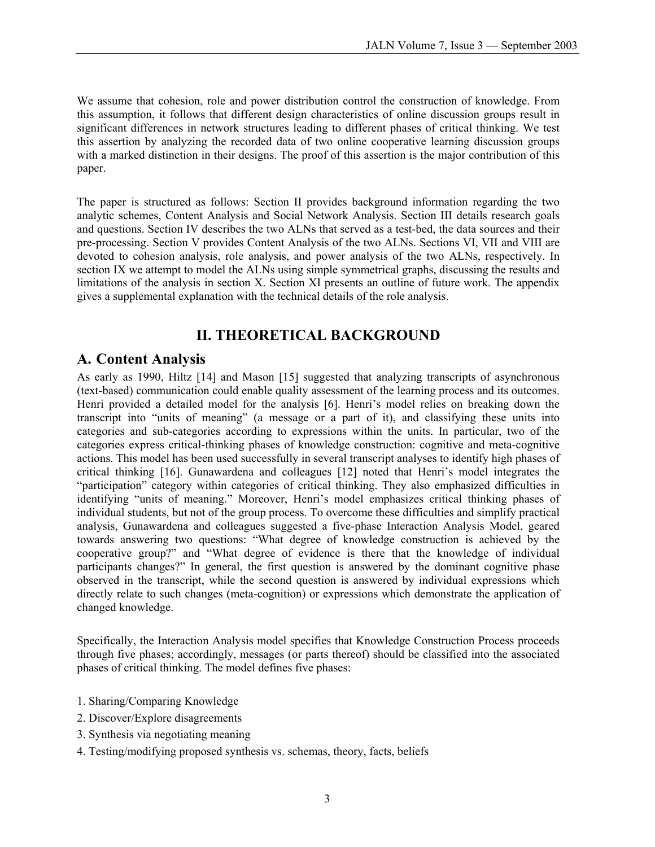We assume that cohesion, role and power distribution control the construction of knowledge. From this assumption, it follows that different design characteristics of online discussion groups result in significant differences in network structures leading to different phases of critical thinking. We test this assertion by analyzing the recorded data of two online cooperative learning discussion groups with a marked distinction in their designs. The proof of this assertion is the major contribution of this paper.

The paper is structured as follows: Section II provides background information regarding the two analytic schemes, Content Analysis and Social Network Analysis. Section III details research goals and questions. Section IV describes the two ALNs that served as a test-bed, the data sources and their pre-processing. Section V provides Content Analysis of the two ALNs. Sections VI, VII and VIII are devoted to cohesion analysis, role analysis, and power analysis of the two ALNs, respectively. In section IX we attempt to model the ALNs using simple symmetrical graphs, discussing the results and limitations of the analysis in section X. Section XI presents an outline of future work. The appendix gives a supplemental explanation with the technical details of the role analysis.

# **II. THEORETICAL BACKGROUND**

# **A. Content Analysis**

As early as 1990, Hiltz [14] and Mason [15] suggested that analyzing transcripts of asynchronous (text-based) communication could enable quality assessment of the learning process and its outcomes. Henri provided a detailed model for the analysis [6]. Henri's model relies on breaking down the transcript into "units of meaning" (a message or a part of it), and classifying these units into categories and sub-categories according to expressions within the units. In particular, two of the categories express critical-thinking phases of knowledge construction: cognitive and meta-cognitive actions. This model has been used successfully in several transcript analyses to identify high phases of critical thinking [16]. Gunawardena and colleagues [12] noted that Henri's model integrates the "participation" category within categories of critical thinking. They also emphasized difficulties in identifying "units of meaning." Moreover, Henri's model emphasizes critical thinking phases of individual students, but not of the group process. To overcome these difficulties and simplify practical analysis, Gunawardena and colleagues suggested a five-phase Interaction Analysis Model, geared towards answering two questions: "What degree of knowledge construction is achieved by the cooperative group?" and "What degree of evidence is there that the knowledge of individual participants changes?" In general, the first question is answered by the dominant cognitive phase observed in the transcript, while the second question is answered by individual expressions which directly relate to such changes (meta-cognition) or expressions which demonstrate the application of changed knowledge.

Specifically, the Interaction Analysis model specifies that Knowledge Construction Process proceeds through five phases; accordingly, messages (or parts thereof) should be classified into the associated phases of critical thinking. The model defines five phases:

- 1. Sharing/Comparing Knowledge
- 2. Discover/Explore disagreements
- 3. Synthesis via negotiating meaning
- 4. Testing/modifying proposed synthesis vs. schemas, theory, facts, beliefs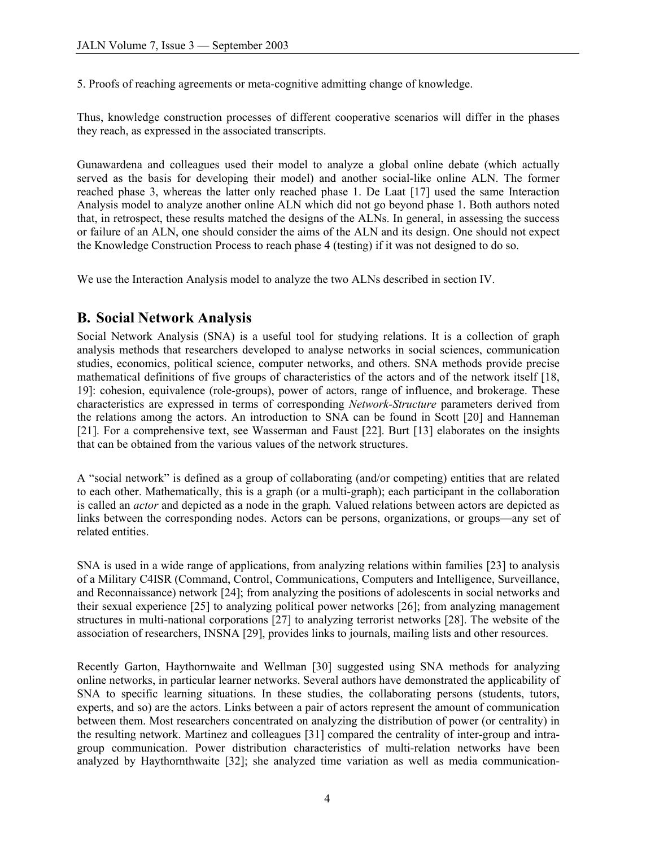5. Proofs of reaching agreements or meta-cognitive admitting change of knowledge.

Thus, knowledge construction processes of different cooperative scenarios will differ in the phases they reach, as expressed in the associated transcripts.

Gunawardena and colleagues used their model to analyze a global online debate (which actually served as the basis for developing their model) and another social-like online ALN. The former reached phase 3, whereas the latter only reached phase 1. De Laat [17] used the same Interaction Analysis model to analyze another online ALN which did not go beyond phase 1. Both authors noted that, in retrospect, these results matched the designs of the ALNs. In general, in assessing the success or failure of an ALN, one should consider the aims of the ALN and its design. One should not expect the Knowledge Construction Process to reach phase 4 (testing) if it was not designed to do so.

We use the Interaction Analysis model to analyze the two ALNs described in section IV.

# **B. Social Network Analysis**

Social Network Analysis (SNA) is a useful tool for studying relations. It is a collection of graph analysis methods that researchers developed to analyse networks in social sciences, communication studies, economics, political science, computer networks, and others. SNA methods provide precise mathematical definitions of five groups of characteristics of the actors and of the network itself [18, 19]: cohesion, equivalence (role-groups), power of actors, range of influence, and brokerage. These characteristics are expressed in terms of corresponding *Network-Structure* parameters derived from the relations among the actors. An introduction to SNA can be found in Scott [20] and Hanneman [21]. For a comprehensive text, see Wasserman and Faust [22]. Burt [13] elaborates on the insights that can be obtained from the various values of the network structures.

A "social network" is defined as a group of collaborating (and/or competing) entities that are related to each other. Mathematically, this is a graph (or a multi-graph); each participant in the collaboration is called an *actor* and depicted as a node in the graph*.* Valued relations between actors are depicted as links between the corresponding nodes. Actors can be persons, organizations, or groups—any set of related entities.

SNA is used in a wide range of applications, from analyzing relations within families [23] to analysis of a Military C4ISR (Command, Control, Communications, Computers and Intelligence, Surveillance, and Reconnaissance) network [24]; from analyzing the positions of adolescents in social networks and their sexual experience [25] to analyzing political power networks [26]; from analyzing management structures in multi-national corporations [27] to analyzing terrorist networks [28]. The website of the association of researchers, INSNA [29], provides links to journals, mailing lists and other resources.

Recently Garton, Haythornwaite and Wellman [30] suggested using SNA methods for analyzing online networks, in particular learner networks. Several authors have demonstrated the applicability of SNA to specific learning situations. In these studies, the collaborating persons (students, tutors, experts, and so) are the actors. Links between a pair of actors represent the amount of communication between them. Most researchers concentrated on analyzing the distribution of power (or centrality) in the resulting network. Martinez and colleagues [31] compared the centrality of inter-group and intragroup communication. Power distribution characteristics of multi-relation networks have been analyzed by Haythornthwaite [32]; she analyzed time variation as well as media communication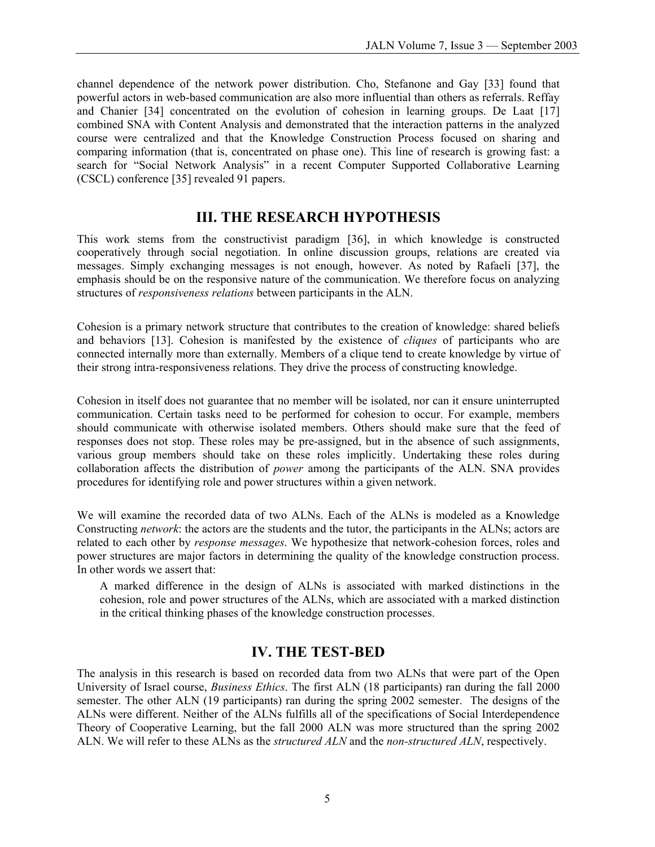channel dependence of the network power distribution. Cho, Stefanone and Gay [33] found that powerful actors in web-based communication are also more influential than others as referrals. Reffay and Chanier [34] concentrated on the evolution of cohesion in learning groups. De Laat [17] combined SNA with Content Analysis and demonstrated that the interaction patterns in the analyzed course were centralized and that the Knowledge Construction Process focused on sharing and comparing information (that is, concentrated on phase one). This line of research is growing fast: a search for "Social Network Analysis" in a recent Computer Supported Collaborative Learning (CSCL) conference [35] revealed 91 papers.

### **III. THE RESEARCH HYPOTHESIS**

This work stems from the constructivist paradigm [36], in which knowledge is constructed cooperatively through social negotiation. In online discussion groups, relations are created via messages. Simply exchanging messages is not enough, however. As noted by Rafaeli [37], the emphasis should be on the responsive nature of the communication. We therefore focus on analyzing structures of *responsiveness relations* between participants in the ALN.

Cohesion is a primary network structure that contributes to the creation of knowledge: shared beliefs and behaviors [13]. Cohesion is manifested by the existence of *cliques* of participants who are connected internally more than externally. Members of a clique tend to create knowledge by virtue of their strong intra-responsiveness relations. They drive the process of constructing knowledge.

Cohesion in itself does not guarantee that no member will be isolated, nor can it ensure uninterrupted communication. Certain tasks need to be performed for cohesion to occur. For example, members should communicate with otherwise isolated members. Others should make sure that the feed of responses does not stop. These roles may be pre-assigned, but in the absence of such assignments, various group members should take on these roles implicitly. Undertaking these roles during collaboration affects the distribution of *power* among the participants of the ALN. SNA provides procedures for identifying role and power structures within a given network.

We will examine the recorded data of two ALNs. Each of the ALNs is modeled as a Knowledge Constructing *network*: the actors are the students and the tutor, the participants in the ALNs; actors are related to each other by *response messages*. We hypothesize that network-cohesion forces, roles and power structures are major factors in determining the quality of the knowledge construction process. In other words we assert that:

A marked difference in the design of ALNs is associated with marked distinctions in the cohesion, role and power structures of the ALNs, which are associated with a marked distinction in the critical thinking phases of the knowledge construction processes.

## **IV. THE TEST-BED**

The analysis in this research is based on recorded data from two ALNs that were part of the Open University of Israel course, *Business Ethics*. The first ALN (18 participants) ran during the fall 2000 semester. The other ALN (19 participants) ran during the spring 2002 semester. The designs of the ALNs were different. Neither of the ALNs fulfills all of the specifications of Social Interdependence Theory of Cooperative Learning, but the fall 2000 ALN was more structured than the spring 2002 ALN. We will refer to these ALNs as the *structured ALN* and the *non-structured ALN*, respectively.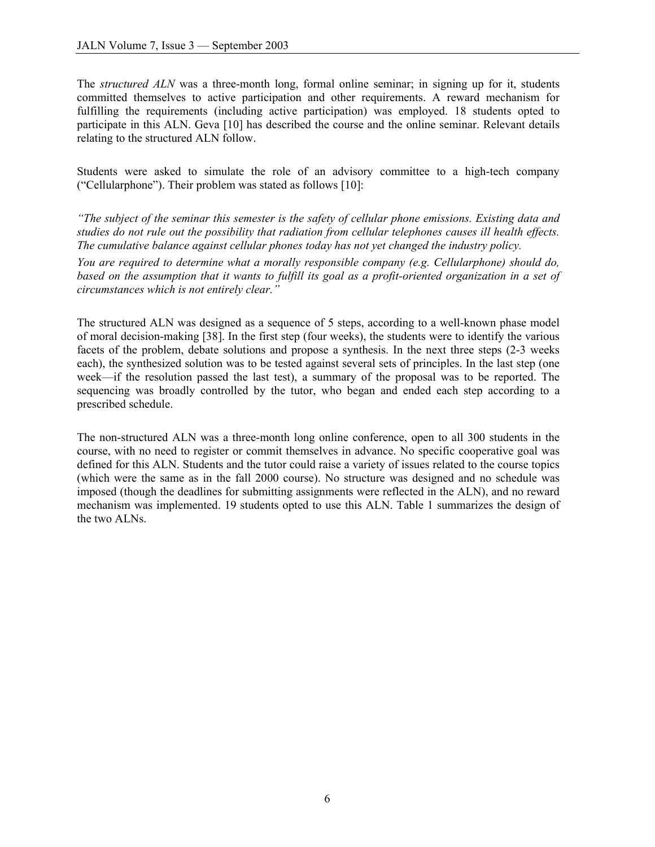The *structured ALN* was a three-month long, formal online seminar; in signing up for it, students committed themselves to active participation and other requirements. A reward mechanism for fulfilling the requirements (including active participation) was employed. 18 students opted to participate in this ALN. Geva [10] has described the course and the online seminar. Relevant details relating to the structured ALN follow.

Students were asked to simulate the role of an advisory committee to a high-tech company ("Cellularphone"). Their problem was stated as follows [10]:

*"The subject of the seminar this semester is the safety of cellular phone emissions. Existing data and studies do not rule out the possibility that radiation from cellular telephones causes ill health effects. The cumulative balance against cellular phones today has not yet changed the industry policy.* 

*You are required to determine what a morally responsible company (e.g. Cellularphone) should do, based on the assumption that it wants to fulfill its goal as a profit-oriented organization in a set of circumstances which is not entirely clear."*

The structured ALN was designed as a sequence of 5 steps, according to a well-known phase model of moral decision-making [38]. In the first step (four weeks), the students were to identify the various facets of the problem, debate solutions and propose a synthesis. In the next three steps (2-3 weeks each), the synthesized solution was to be tested against several sets of principles. In the last step (one week—if the resolution passed the last test), a summary of the proposal was to be reported. The sequencing was broadly controlled by the tutor, who began and ended each step according to a prescribed schedule.

The non-structured ALN was a three-month long online conference, open to all 300 students in the course, with no need to register or commit themselves in advance. No specific cooperative goal was defined for this ALN. Students and the tutor could raise a variety of issues related to the course topics (which were the same as in the fall 2000 course). No structure was designed and no schedule was imposed (though the deadlines for submitting assignments were reflected in the ALN), and no reward mechanism was implemented. 19 students opted to use this ALN. Table 1 summarizes the design of the two ALNs.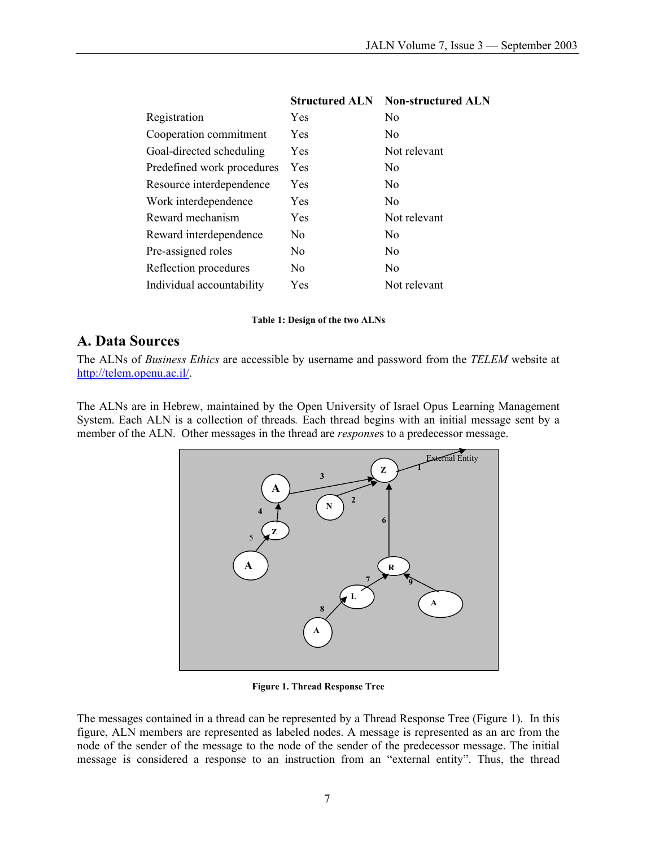| <b>Structured ALN</b> | <b>Non-structured ALN</b> |
|-----------------------|---------------------------|
| Yes                   | N <sub>0</sub>            |
| Yes                   | N <sub>0</sub>            |
| Yes                   | Not relevant              |
| <b>Yes</b>            | N <sub>0</sub>            |
| Yes                   | N <sub>0</sub>            |
| Yes                   | N <sub>0</sub>            |
| Yes                   | Not relevant              |
| No                    | N <sub>0</sub>            |
| No.                   | N <sub>0</sub>            |
| No                    | No                        |
| Yes                   | Not relevant              |
|                       |                           |

### **Structured ALN Non-structured ALN**

#### **Table 1: Design of the two ALNs**

### **A. Data Sources**

The ALNs of *Business Ethics* are accessible by username and password from the *TELEM* website at [http://telem.openu.ac.il/.](http://telem.openu.ac.il/) 

The ALNs are in Hebrew, maintained by the Open University of Israel Opus Learning Management System. Each ALN is a collection of threads*.* Each thread begins with an initial message sent by a member of the ALN. Other messages in the thread are *response*s to a predecessor message.



**Figure 1. Thread Response Tree** 

The messages contained in a thread can be represented by a Thread Response Tree (Figure 1). In this figure, ALN members are represented as labeled nodes. A message is represented as an arc from the node of the sender of the message to the node of the sender of the predecessor message. The initial message is considered a response to an instruction from an "external entity". Thus, the thread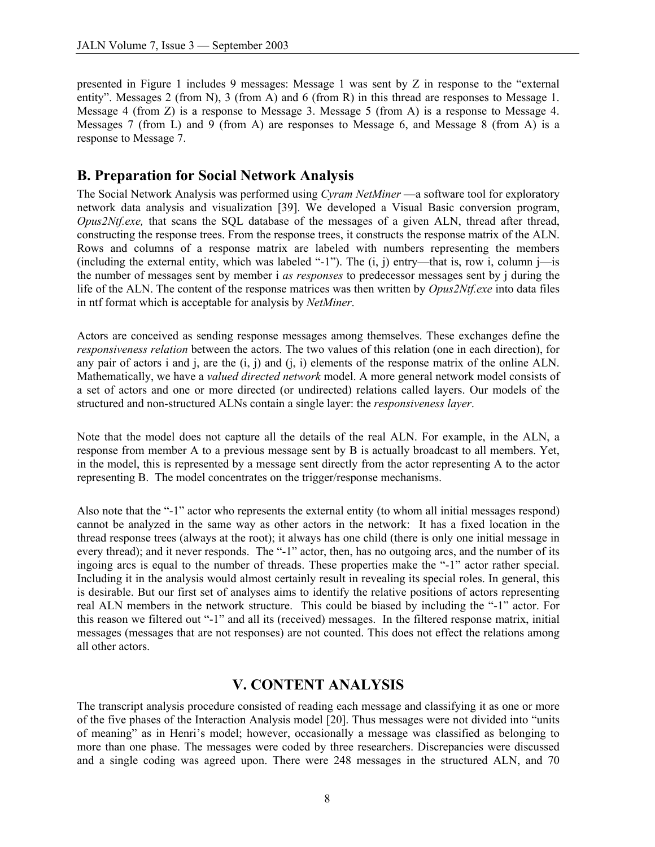presented in Figure 1 includes 9 messages: Message 1 was sent by Z in response to the "external entity". Messages 2 (from N), 3 (from A) and 6 (from R) in this thread are responses to Message 1. Message 4 (from Z) is a response to Message 3. Message 5 (from A) is a response to Message 4. Messages 7 (from L) and 9 (from A) are responses to Message 6, and Message 8 (from A) is a response to Message 7.

### **B. Preparation for Social Network Analysis**

The Social Network Analysis was performed using *Cyram NetMiner* —a software tool for exploratory network data analysis and visualization [39]. We developed a Visual Basic conversion program, *Opus2Ntf.exe,* that scans the SQL database of the messages of a given ALN, thread after thread, constructing the response trees. From the response trees, it constructs the response matrix of the ALN. Rows and columns of a response matrix are labeled with numbers representing the members (including the external entity, which was labeled "-1"). The  $(i, j)$  entry—that is, row i, column j—is the number of messages sent by member i *as responses* to predecessor messages sent by j during the life of the ALN. The content of the response matrices was then written by *Opus2Ntf.exe* into data files in ntf format which is acceptable for analysis by *NetMiner*.

Actors are conceived as sending response messages among themselves. These exchanges define the *responsiveness relation* between the actors. The two values of this relation (one in each direction), for any pair of actors i and j, are the  $(i, j)$  and  $(j, i)$  elements of the response matrix of the online ALN. Mathematically, we have a *valued directed network* model. A more general network model consists of a set of actors and one or more directed (or undirected) relations called layers. Our models of the structured and non-structured ALNs contain a single layer: the *responsiveness layer*.

Note that the model does not capture all the details of the real ALN. For example, in the ALN, a response from member A to a previous message sent by B is actually broadcast to all members. Yet, in the model, this is represented by a message sent directly from the actor representing A to the actor representing B. The model concentrates on the trigger/response mechanisms.

Also note that the "-1" actor who represents the external entity (to whom all initial messages respond) cannot be analyzed in the same way as other actors in the network: It has a fixed location in the thread response trees (always at the root); it always has one child (there is only one initial message in every thread); and it never responds. The "-1" actor, then, has no outgoing arcs, and the number of its ingoing arcs is equal to the number of threads. These properties make the "-1" actor rather special. Including it in the analysis would almost certainly result in revealing its special roles. In general, this is desirable. But our first set of analyses aims to identify the relative positions of actors representing real ALN members in the network structure. This could be biased by including the "-1" actor. For this reason we filtered out "-1" and all its (received) messages. In the filtered response matrix, initial messages (messages that are not responses) are not counted. This does not effect the relations among all other actors.

## **V. CONTENT ANALYSIS**

The transcript analysis procedure consisted of reading each message and classifying it as one or more of the five phases of the Interaction Analysis model [20]. Thus messages were not divided into "units of meaning" as in Henri's model; however, occasionally a message was classified as belonging to more than one phase. The messages were coded by three researchers. Discrepancies were discussed and a single coding was agreed upon. There were 248 messages in the structured ALN, and 70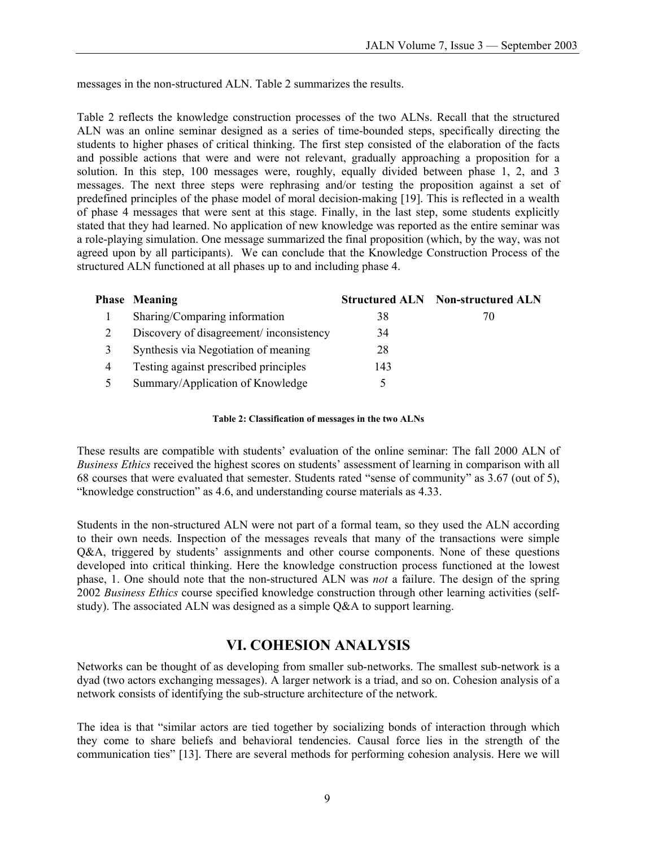messages in the non-structured ALN. Table 2 summarizes the results.

Table 2 reflects the knowledge construction processes of the two ALNs. Recall that the structured ALN was an online seminar designed as a series of time-bounded steps, specifically directing the students to higher phases of critical thinking. The first step consisted of the elaboration of the facts and possible actions that were and were not relevant, gradually approaching a proposition for a solution. In this step, 100 messages were, roughly, equally divided between phase 1, 2, and 3 messages. The next three steps were rephrasing and/or testing the proposition against a set of predefined principles of the phase model of moral decision-making [19]. This is reflected in a wealth of phase 4 messages that were sent at this stage. Finally, in the last step, some students explicitly stated that they had learned. No application of new knowledge was reported as the entire seminar was a role-playing simulation. One message summarized the final proposition (which, by the way, was not agreed upon by all participants). We can conclude that the Knowledge Construction Process of the structured ALN functioned at all phases up to and including phase 4.

|   | <b>Phase Meaning</b>                    |     | <b>Structured ALN</b> Non-structured ALN |
|---|-----------------------------------------|-----|------------------------------------------|
|   | Sharing/Comparing information           | 38  | 70                                       |
|   | Discovery of disagreement/inconsistency | 34  |                                          |
| 3 | Synthesis via Negotiation of meaning    | 28  |                                          |
| 4 | Testing against prescribed principles   | 143 |                                          |
|   | Summary/Application of Knowledge        |     |                                          |

#### **Table 2: Classification of messages in the two ALNs**

These results are compatible with students' evaluation of the online seminar: The fall 2000 ALN of *Business Ethics* received the highest scores on students' assessment of learning in comparison with all 68 courses that were evaluated that semester. Students rated "sense of community" as 3.67 (out of 5), "knowledge construction" as 4.6, and understanding course materials as 4.33.

Students in the non-structured ALN were not part of a formal team, so they used the ALN according to their own needs. Inspection of the messages reveals that many of the transactions were simple Q&A, triggered by students' assignments and other course components. None of these questions developed into critical thinking. Here the knowledge construction process functioned at the lowest phase, 1. One should note that the non-structured ALN was *not* a failure. The design of the spring 2002 *Business Ethics* course specified knowledge construction through other learning activities (selfstudy). The associated ALN was designed as a simple Q&A to support learning.

## **VI. COHESION ANALYSIS**

Networks can be thought of as developing from smaller sub-networks. The smallest sub-network is a dyad (two actors exchanging messages). A larger network is a triad, and so on. Cohesion analysis of a network consists of identifying the sub-structure architecture of the network.

The idea is that "similar actors are tied together by socializing bonds of interaction through which they come to share beliefs and behavioral tendencies. Causal force lies in the strength of the communication ties" [13]. There are several methods for performing cohesion analysis. Here we will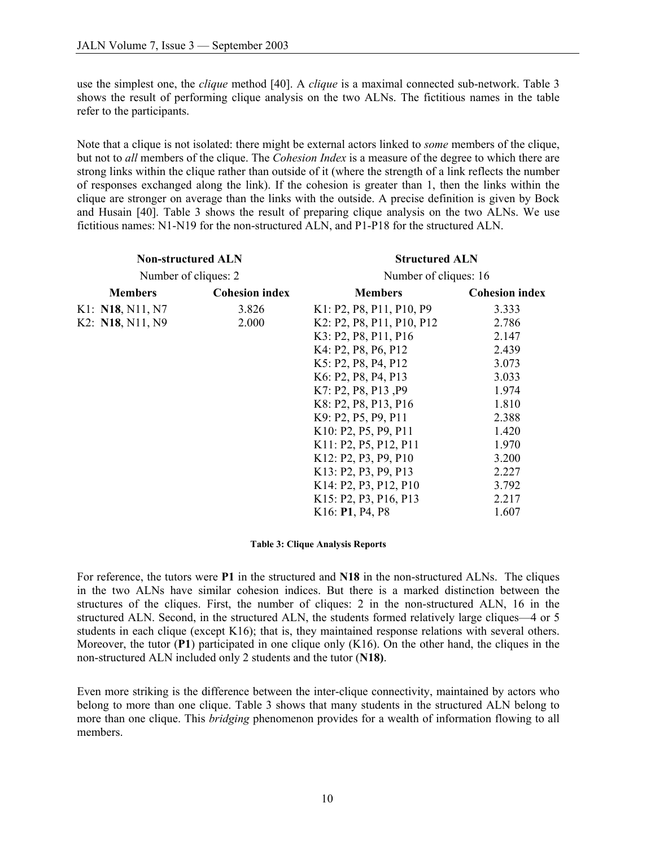use the simplest one, the *clique* method [40]. A *clique* is a maximal connected sub-network. Table 3 shows the result of performing clique analysis on the two ALNs. The fictitious names in the table refer to the participants.

Note that a clique is not isolated: there might be external actors linked to *some* members of the clique, but not to *all* members of the clique. The *Cohesion Index* is a measure of the degree to which there are strong links within the clique rather than outside of it (where the strength of a link reflects the number of responses exchanged along the link). If the cohesion is greater than 1, then the links within the clique are stronger on average than the links with the outside. A precise definition is given by Bock and Husain [40]. Table 3 shows the result of preparing clique analysis on the two ALNs. We use fictitious names: N1-N19 for the non-structured ALN, and P1-P18 for the structured ALN.

| <b>Non-structured ALN</b> |                       | <b>Structured ALN</b><br>Number of cliques: 16 |                       |  |  |  |  |  |  |
|---------------------------|-----------------------|------------------------------------------------|-----------------------|--|--|--|--|--|--|
| Number of cliques: 2      |                       |                                                |                       |  |  |  |  |  |  |
| <b>Members</b>            | <b>Cohesion index</b> | <b>Members</b>                                 | <b>Cohesion index</b> |  |  |  |  |  |  |
| K1: <b>N18</b> , N11, N7  | 3.826                 | K1: P2, P8, P11, P10, P9                       | 3.333                 |  |  |  |  |  |  |
| K2: N18, N11, N9          | 2.000                 | K2: P2, P8, P11, P10, P12                      | 2.786                 |  |  |  |  |  |  |
|                           |                       | K3: P2, P8, P11, P16                           | 2.147                 |  |  |  |  |  |  |
|                           |                       | K4: P2, P8, P6, P12                            | 2.439                 |  |  |  |  |  |  |
|                           |                       | K5: P2, P8, P4, P12                            | 3.073                 |  |  |  |  |  |  |
|                           |                       | K6: P2, P8, P4, P13                            | 3.033                 |  |  |  |  |  |  |
|                           |                       | K7: P2, P8, P13, P9                            | 1.974                 |  |  |  |  |  |  |
|                           |                       | K8: P2, P8, P13, P16                           | 1.810                 |  |  |  |  |  |  |
|                           |                       | 2.388                                          |                       |  |  |  |  |  |  |
|                           | K10: P2, P5, P9, P11  | 1.420                                          |                       |  |  |  |  |  |  |
|                           |                       | K11: P2, P5, P12, P11                          | 1.970                 |  |  |  |  |  |  |
|                           |                       | K12: P2, P3, P9, P10                           | 3.200                 |  |  |  |  |  |  |
|                           |                       | K13: P2, P3, P9, P13                           | 2.227                 |  |  |  |  |  |  |
|                           |                       | K14: P2, P3, P12, P10                          | 3.792                 |  |  |  |  |  |  |
|                           |                       | K15: P2, P3, P16, P13                          | 2.217                 |  |  |  |  |  |  |
|                           |                       | K16: P1, P4, P8                                | 1.607                 |  |  |  |  |  |  |

#### **Table 3: Clique Analysis Reports**

For reference, the tutors were **P1** in the structured and **N18** in the non-structured ALNs. The cliques in the two ALNs have similar cohesion indices. But there is a marked distinction between the structures of the cliques. First, the number of cliques: 2 in the non-structured ALN, 16 in the structured ALN. Second, in the structured ALN, the students formed relatively large cliques—4 or 5 students in each clique (except K16); that is, they maintained response relations with several others. Moreover, the tutor (**P1**) participated in one clique only (K16). On the other hand, the cliques in the non-structured ALN included only 2 students and the tutor (**N18)**.

Even more striking is the difference between the inter-clique connectivity, maintained by actors who belong to more than one clique. Table 3 shows that many students in the structured ALN belong to more than one clique. This *bridging* phenomenon provides for a wealth of information flowing to all members.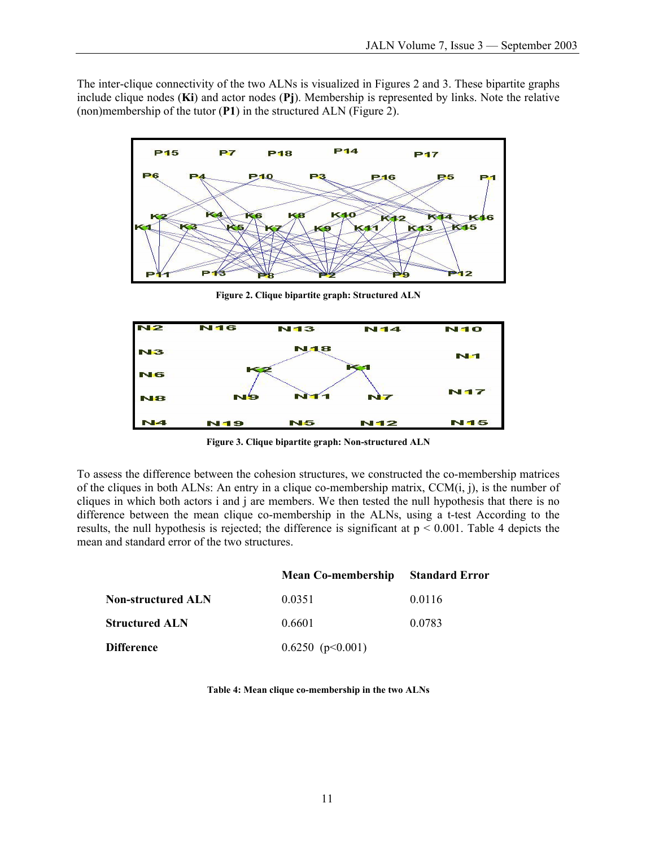The inter-clique connectivity of the two ALNs is visualized in Figures 2 and 3. These bipartite graphs include clique nodes (**Ki**) and actor nodes (**Pj**). Membership is represented by links. Note the relative (non)membership of the tutor (**P1**) in the structured ALN (Figure 2).



**Figure 2. Clique bipartite graph: Structured ALN** 



**Figure 3. Clique bipartite graph: Non-structured ALN** 

To assess the difference between the cohesion structures, we constructed the co-membership matrices of the cliques in both ALNs: An entry in a clique co-membership matrix, CCM(i, j), is the number of cliques in which both actors i and j are members. We then tested the null hypothesis that there is no difference between the mean clique co-membership in the ALNs, using a t-test According to the results, the null hypothesis is rejected; the difference is significant at  $p \le 0.001$ . Table 4 depicts the mean and standard error of the two structures.

|                           | <b>Mean Co-membership</b> | <b>Standard Error</b> |
|---------------------------|---------------------------|-----------------------|
| <b>Non-structured ALN</b> | 0.0351                    | 0.0116                |
| <b>Structured ALN</b>     | 0.6601                    | 0.0783                |
| <b>Difference</b>         | 0.6250~(p<0.001)          |                       |

#### **Table 4: Mean clique co-membership in the two ALNs**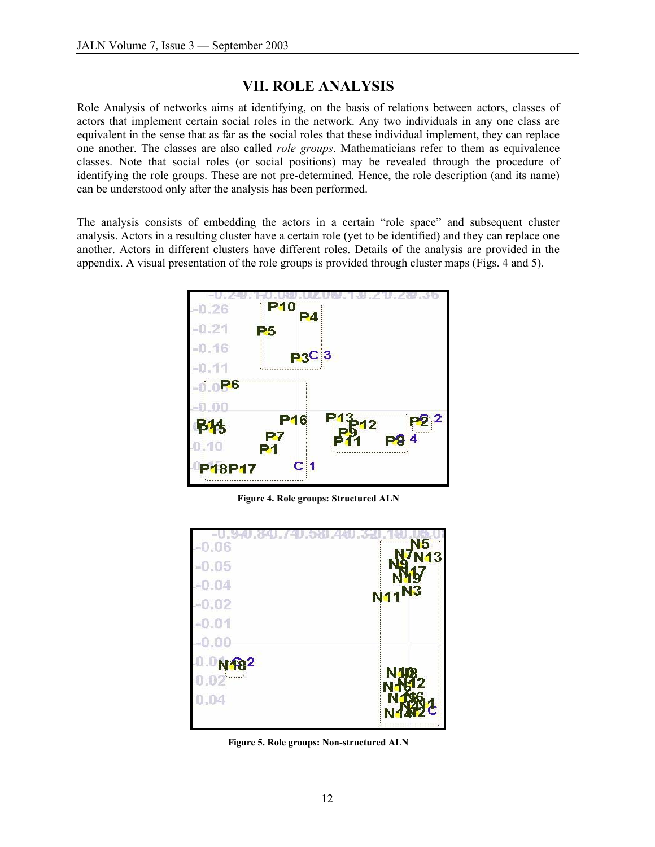### **VII. ROLE ANALYSIS**

Role Analysis of networks aims at identifying, on the basis of relations between actors, classes of actors that implement certain social roles in the network. Any two individuals in any one class are equivalent in the sense that as far as the social roles that these individual implement, they can replace one another. The classes are also called *role groups*. Mathematicians refer to them as equivalence classes. Note that social roles (or social positions) may be revealed through the procedure of identifying the role groups. These are not pre-determined. Hence, the role description (and its name) can be understood only after the analysis has been performed.

The analysis consists of embedding the actors in a certain "role space" and subsequent cluster analysis. Actors in a resulting cluster have a certain role (yet to be identified) and they can replace one another. Actors in different clusters have different roles. Details of the analysis are provided in the appendix. A visual presentation of the role groups is provided through cluster maps (Figs. 4 and 5).



**Figure 4. Role groups: Structured ALN** 

| $-0.06$<br>$-0.05$<br>$-0.04$ | N <sub>5</sub><br>13                  |
|-------------------------------|---------------------------------------|
| $-0.02$<br>$-0.01$            | N <sub>11</sub> N <sub>3</sub>        |
| -0.00                         |                                       |
| $0.0N$ 182<br>0.02<br>0.04    | N <sub>18</sub><br><b>NAK12</b><br>92 |

**Figure 5. Role groups: Non-structured ALN**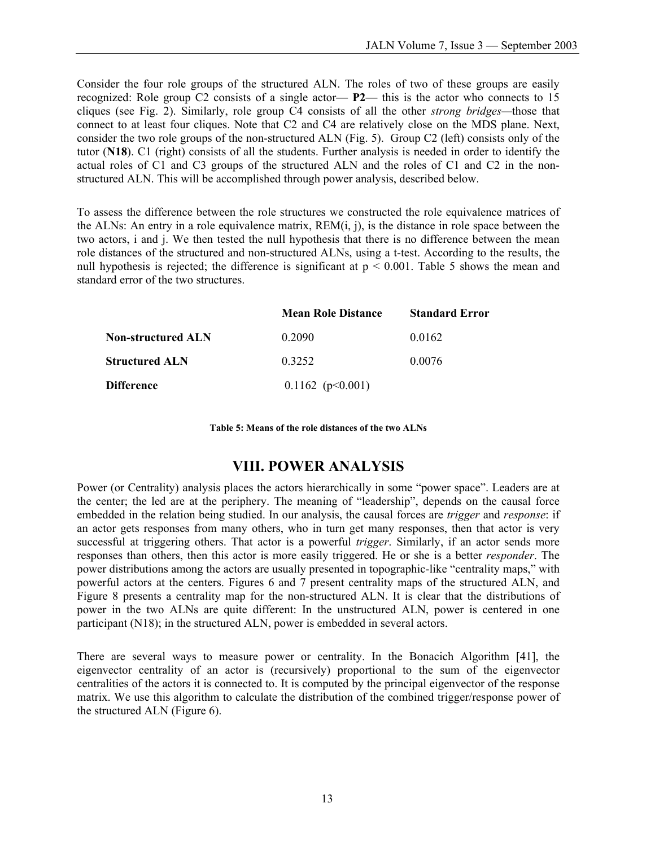Consider the four role groups of the structured ALN. The roles of two of these groups are easily recognized: Role group C2 consists of a single actor— **P2**— this is the actor who connects to 15 cliques (see Fig. 2). Similarly, role group C4 consists of all the other *strong bridges—*those that connect to at least four cliques. Note that C2 and C4 are relatively close on the MDS plane. Next, consider the two role groups of the non-structured ALN (Fig. 5). Group C2 (left) consists only of the tutor (**N18**). C1 (right) consists of all the students. Further analysis is needed in order to identify the actual roles of C1 and C3 groups of the structured ALN and the roles of C1 and C2 in the nonstructured ALN. This will be accomplished through power analysis, described below.

To assess the difference between the role structures we constructed the role equivalence matrices of the ALNs: An entry in a role equivalence matrix,  $REM(i, j)$ , is the distance in role space between the two actors, i and j. We then tested the null hypothesis that there is no difference between the mean role distances of the structured and non-structured ALNs, using a t-test. According to the results, the null hypothesis is rejected; the difference is significant at  $p < 0.001$ . Table 5 shows the mean and standard error of the two structures.

|                           | <b>Mean Role Distance</b> | <b>Standard Error</b> |
|---------------------------|---------------------------|-----------------------|
| <b>Non-structured ALN</b> | 0.2090                    | 0.0162                |
| <b>Structured ALN</b>     | 0.3252                    | 0.0076                |
| <b>Difference</b>         | $0.1162$ (p $0.001$ )     |                       |

**Table 5: Means of the role distances of the two ALNs** 

### **VIII. POWER ANALYSIS**

Power (or Centrality) analysis places the actors hierarchically in some "power space". Leaders are at the center; the led are at the periphery. The meaning of "leadership", depends on the causal force embedded in the relation being studied. In our analysis, the causal forces are *trigger* and *response*: if an actor gets responses from many others, who in turn get many responses, then that actor is very successful at triggering others. That actor is a powerful *trigger*. Similarly, if an actor sends more responses than others, then this actor is more easily triggered. He or she is a better *responder*. The power distributions among the actors are usually presented in topographic-like "centrality maps," with powerful actors at the centers. Figures 6 and 7 present centrality maps of the structured ALN, and Figure 8 presents a centrality map for the non-structured ALN. It is clear that the distributions of power in the two ALNs are quite different: In the unstructured ALN, power is centered in one participant (N18); in the structured ALN, power is embedded in several actors.

There are several ways to measure power or centrality. In the Bonacich Algorithm [41], the eigenvector centrality of an actor is (recursively) proportional to the sum of the eigenvector centralities of the actors it is connected to. It is computed by the principal eigenvector of the response matrix. We use this algorithm to calculate the distribution of the combined trigger/response power of the structured ALN (Figure 6).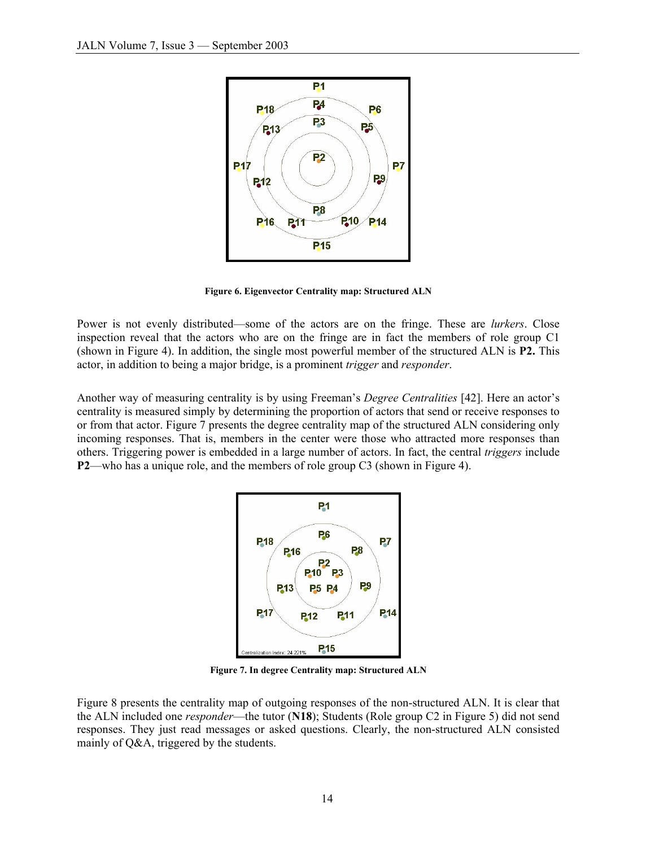

**Figure 6. Eigenvector Centrality map: Structured ALN** 

Power is not evenly distributed—some of the actors are on the fringe. These are *lurkers*. Close inspection reveal that the actors who are on the fringe are in fact the members of role group C1 (shown in Figure 4). In addition, the single most powerful member of the structured ALN is **P2.** This actor, in addition to being a major bridge, is a prominent *trigger* and *responder*.

Another way of measuring centrality is by using Freeman's *Degree Centralities* [42]. Here an actor's centrality is measured simply by determining the proportion of actors that send or receive responses to or from that actor. Figure 7 presents the degree centrality map of the structured ALN considering only incoming responses. That is, members in the center were those who attracted more responses than others. Triggering power is embedded in a large number of actors. In fact, the central *triggers* include **P2**—who has a unique role, and the members of role group C3 (shown in Figure 4).



**Figure 7. In degree Centrality map: Structured ALN** 

Figure 8 presents the centrality map of outgoing responses of the non-structured ALN. It is clear that the ALN included one *responder*—the tutor (**N18**); Students (Role group C2 in Figure 5) did not send responses. They just read messages or asked questions. Clearly, the non-structured ALN consisted mainly of Q&A, triggered by the students.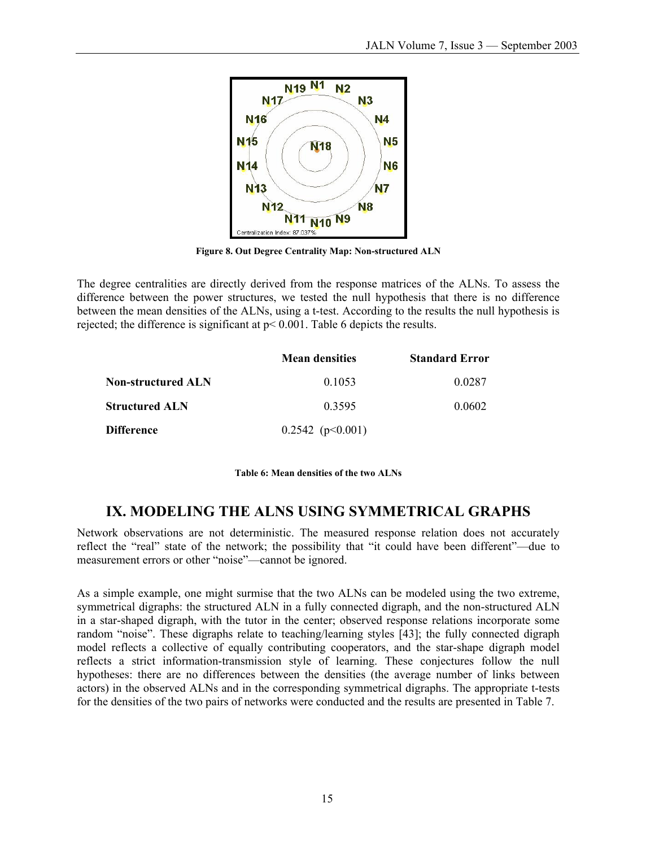

**Figure 8. Out Degree Centrality Map: Non-structured ALN** 

The degree centralities are directly derived from the response matrices of the ALNs. To assess the difference between the power structures, we tested the null hypothesis that there is no difference between the mean densities of the ALNs, using a t-test. According to the results the null hypothesis is rejected; the difference is significant at p< 0.001. Table 6 depicts the results.

|                       | <b>Mean densities</b> | <b>Standard Error</b> |
|-----------------------|-----------------------|-----------------------|
| Non-structured ALN    | 0.1053                | 0.0287                |
| <b>Structured ALN</b> | 0.3595                | 0.0602                |
| Difference            | $0.2542$ (p $0.001$ ) |                       |

**Table 6: Mean densities of the two ALNs** 

# **IX. MODELING THE ALNS USING SYMMETRICAL GRAPHS**

Network observations are not deterministic. The measured response relation does not accurately reflect the "real" state of the network; the possibility that "it could have been different"—due to measurement errors or other "noise"—cannot be ignored.

As a simple example, one might surmise that the two ALNs can be modeled using the two extreme, symmetrical digraphs: the structured ALN in a fully connected digraph, and the non-structured ALN in a star-shaped digraph, with the tutor in the center; observed response relations incorporate some random "noise". These digraphs relate to teaching/learning styles [43]; the fully connected digraph model reflects a collective of equally contributing cooperators, and the star-shape digraph model reflects a strict information-transmission style of learning. These conjectures follow the null hypotheses: there are no differences between the densities (the average number of links between actors) in the observed ALNs and in the corresponding symmetrical digraphs. The appropriate t-tests for the densities of the two pairs of networks were conducted and the results are presented in Table 7.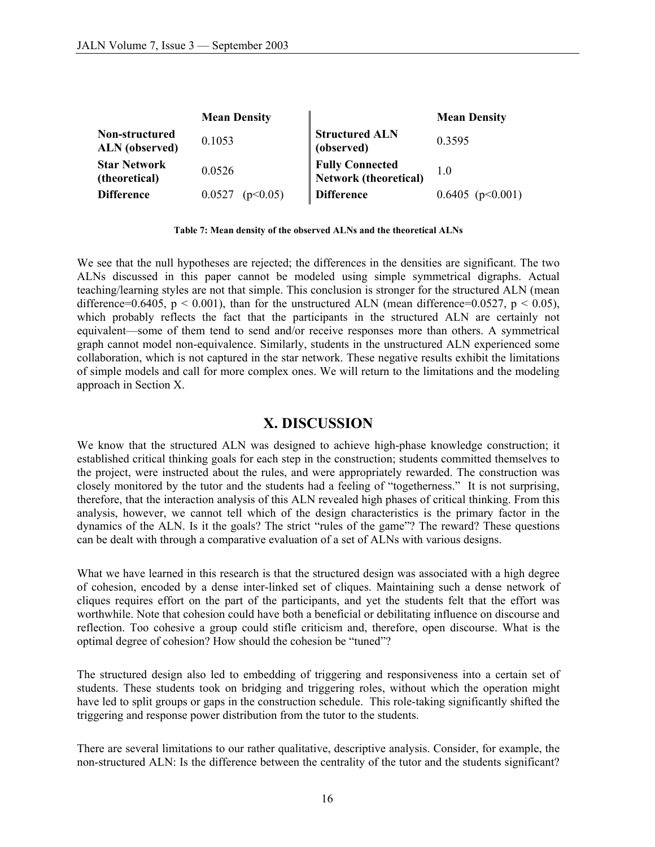|                                         | <b>Mean Density</b> |                                          | <b>Mean Density</b>   |
|-----------------------------------------|---------------------|------------------------------------------|-----------------------|
| Non-structured<br><b>ALN</b> (observed) | 0.1053              | <b>Structured ALN</b><br>(observed)      | 0.3595                |
| <b>Star Network</b><br>(theoretical)    | 0.0526              | Fully Connected<br>Network (theoretical) | 1.0                   |
| <b>Difference</b>                       | (p<0.05)<br>0.0527  | <b>Difference</b>                        | $0.6405$ (p $0.001$ ) |

**Table 7: Mean density of the observed ALNs and the theoretical ALNs** 

We see that the null hypotheses are rejected; the differences in the densities are significant. The two ALNs discussed in this paper cannot be modeled using simple symmetrical digraphs. Actual teaching/learning styles are not that simple. This conclusion is stronger for the structured ALN (mean difference=0.6405,  $p < 0.001$ ), than for the unstructured ALN (mean difference=0.0527,  $p < 0.05$ ), which probably reflects the fact that the participants in the structured ALN are certainly not equivalent—some of them tend to send and/or receive responses more than others. A symmetrical graph cannot model non-equivalence. Similarly, students in the unstructured ALN experienced some collaboration, which is not captured in the star network. These negative results exhibit the limitations of simple models and call for more complex ones. We will return to the limitations and the modeling approach in Section X.

### **X. DISCUSSION**

We know that the structured ALN was designed to achieve high-phase knowledge construction; it established critical thinking goals for each step in the construction; students committed themselves to the project, were instructed about the rules, and were appropriately rewarded. The construction was closely monitored by the tutor and the students had a feeling of "togetherness." It is not surprising, therefore, that the interaction analysis of this ALN revealed high phases of critical thinking. From this analysis, however, we cannot tell which of the design characteristics is the primary factor in the dynamics of the ALN. Is it the goals? The strict "rules of the game"? The reward? These questions can be dealt with through a comparative evaluation of a set of ALNs with various designs.

What we have learned in this research is that the structured design was associated with a high degree of cohesion, encoded by a dense inter-linked set of cliques. Maintaining such a dense network of cliques requires effort on the part of the participants, and yet the students felt that the effort was worthwhile. Note that cohesion could have both a beneficial or debilitating influence on discourse and reflection. Too cohesive a group could stifle criticism and, therefore, open discourse. What is the optimal degree of cohesion? How should the cohesion be "tuned"?

The structured design also led to embedding of triggering and responsiveness into a certain set of students. These students took on bridging and triggering roles, without which the operation might have led to split groups or gaps in the construction schedule. This role-taking significantly shifted the triggering and response power distribution from the tutor to the students.

There are several limitations to our rather qualitative, descriptive analysis. Consider, for example, the non-structured ALN: Is the difference between the centrality of the tutor and the students significant?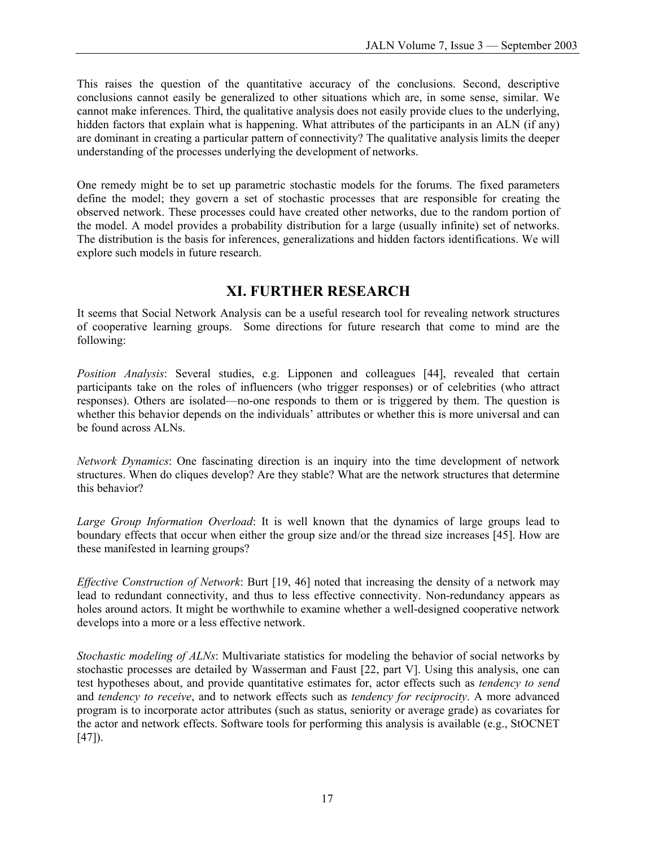This raises the question of the quantitative accuracy of the conclusions. Second, descriptive conclusions cannot easily be generalized to other situations which are, in some sense, similar. We cannot make inferences. Third, the qualitative analysis does not easily provide clues to the underlying, hidden factors that explain what is happening. What attributes of the participants in an ALN (if any) are dominant in creating a particular pattern of connectivity? The qualitative analysis limits the deeper understanding of the processes underlying the development of networks.

One remedy might be to set up parametric stochastic models for the forums. The fixed parameters define the model; they govern a set of stochastic processes that are responsible for creating the observed network. These processes could have created other networks, due to the random portion of the model. A model provides a probability distribution for a large (usually infinite) set of networks. The distribution is the basis for inferences, generalizations and hidden factors identifications. We will explore such models in future research.

# **XI. FURTHER RESEARCH**

It seems that Social Network Analysis can be a useful research tool for revealing network structures of cooperative learning groups. Some directions for future research that come to mind are the following:

*Position Analysis*: Several studies, e.g. Lipponen and colleagues [44], revealed that certain participants take on the roles of influencers (who trigger responses) or of celebrities (who attract responses). Others are isolated—no-one responds to them or is triggered by them. The question is whether this behavior depends on the individuals' attributes or whether this is more universal and can be found across ALNs.

*Network Dynamics*: One fascinating direction is an inquiry into the time development of network structures. When do cliques develop? Are they stable? What are the network structures that determine this behavior?

*Large Group Information Overload*: It is well known that the dynamics of large groups lead to boundary effects that occur when either the group size and/or the thread size increases [45]. How are these manifested in learning groups?

*Effective Construction of Network*: Burt [19, 46] noted that increasing the density of a network may lead to redundant connectivity, and thus to less effective connectivity. Non-redundancy appears as holes around actors. It might be worthwhile to examine whether a well-designed cooperative network develops into a more or a less effective network.

*Stochastic modeling of ALNs*: Multivariate statistics for modeling the behavior of social networks by stochastic processes are detailed by Wasserman and Faust [22, part V]. Using this analysis, one can test hypotheses about, and provide quantitative estimates for, actor effects such as *tendency to send* and *tendency to receive*, and to network effects such as *tendency for reciprocity*. A more advanced program is to incorporate actor attributes (such as status, seniority or average grade) as covariates for the actor and network effects. Software tools for performing this analysis is available (e.g., StOCNET  $[47]$ .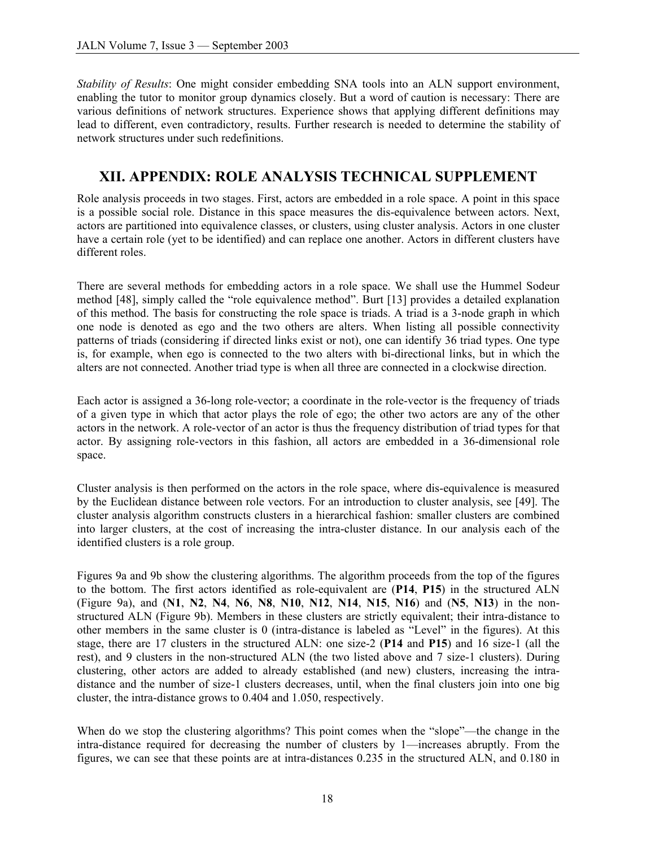*Stability of Results*: One might consider embedding SNA tools into an ALN support environment, enabling the tutor to monitor group dynamics closely. But a word of caution is necessary: There are various definitions of network structures. Experience shows that applying different definitions may lead to different, even contradictory, results. Further research is needed to determine the stability of network structures under such redefinitions.

# **XII. APPENDIX: ROLE ANALYSIS TECHNICAL SUPPLEMENT**

Role analysis proceeds in two stages. First, actors are embedded in a role space. A point in this space is a possible social role. Distance in this space measures the dis-equivalence between actors. Next, actors are partitioned into equivalence classes, or clusters, using cluster analysis. Actors in one cluster have a certain role (yet to be identified) and can replace one another. Actors in different clusters have different roles.

There are several methods for embedding actors in a role space. We shall use the Hummel Sodeur method [48], simply called the "role equivalence method". Burt [13] provides a detailed explanation of this method. The basis for constructing the role space is triads. A triad is a 3-node graph in which one node is denoted as ego and the two others are alters. When listing all possible connectivity patterns of triads (considering if directed links exist or not), one can identify 36 triad types. One type is, for example, when ego is connected to the two alters with bi-directional links, but in which the alters are not connected. Another triad type is when all three are connected in a clockwise direction.

Each actor is assigned a 36-long role-vector; a coordinate in the role-vector is the frequency of triads of a given type in which that actor plays the role of ego; the other two actors are any of the other actors in the network. A role-vector of an actor is thus the frequency distribution of triad types for that actor. By assigning role-vectors in this fashion, all actors are embedded in a 36-dimensional role space.

Cluster analysis is then performed on the actors in the role space, where dis-equivalence is measured by the Euclidean distance between role vectors. For an introduction to cluster analysis, see [49]. The cluster analysis algorithm constructs clusters in a hierarchical fashion: smaller clusters are combined into larger clusters, at the cost of increasing the intra-cluster distance. In our analysis each of the identified clusters is a role group.

Figures 9a and 9b show the clustering algorithms. The algorithm proceeds from the top of the figures to the bottom. The first actors identified as role-equivalent are (**P14**, **P15**) in the structured ALN (Figure 9a), and (**N1**, **N2**, **N4**, **N6**, **N8**, **N10**, **N12**, **N14**, **N15**, **N16**) and (**N5**, **N13**) in the nonstructured ALN (Figure 9b). Members in these clusters are strictly equivalent; their intra-distance to other members in the same cluster is 0 (intra-distance is labeled as "Level" in the figures). At this stage, there are 17 clusters in the structured ALN: one size-2 (**P14** and **P15**) and 16 size-1 (all the rest), and 9 clusters in the non-structured ALN (the two listed above and 7 size-1 clusters). During clustering, other actors are added to already established (and new) clusters, increasing the intradistance and the number of size-1 clusters decreases, until, when the final clusters join into one big cluster, the intra-distance grows to 0.404 and 1.050, respectively.

When do we stop the clustering algorithms? This point comes when the "slope"—the change in the intra-distance required for decreasing the number of clusters by 1—increases abruptly. From the figures, we can see that these points are at intra-distances 0.235 in the structured ALN, and 0.180 in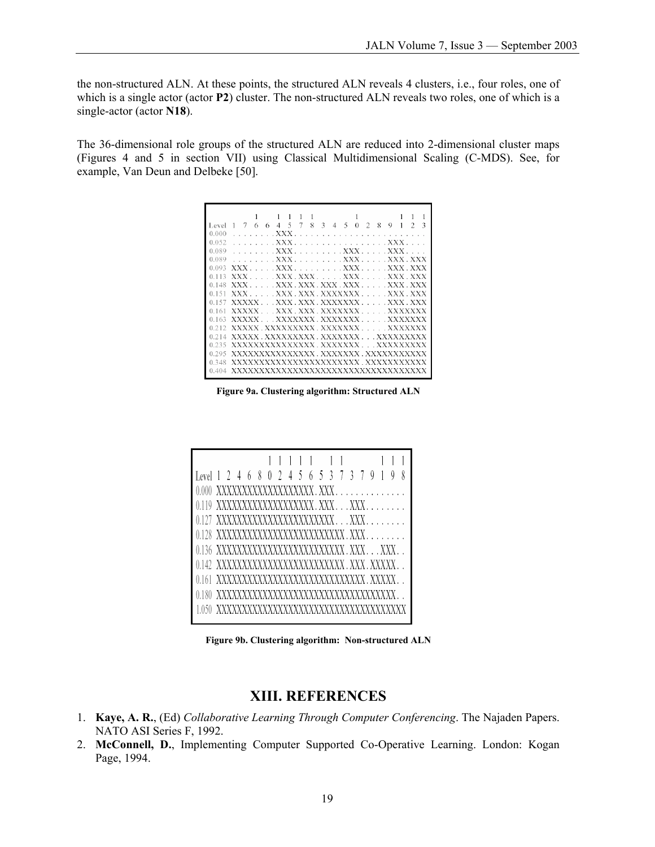the non-structured ALN. At these points, the structured ALN reveals 4 clusters, i.e., four roles, one of which is a single actor (actor **P2**) cluster. The non-structured ALN reveals two roles, one of which is a single-actor (actor **N18**).

The 36-dimensional role groups of the structured ALN are reduced into 2-dimensional cluster maps (Figures 4 and 5 in section VII) using Classical Multidimensional Scaling (C-MDS). See, for example, Van Deun and Delbeke [50].

| Level        |                                    |                  | $\boldsymbol{\varLambda}$ | 5 | $\mathbf 8$ | 3 | $\Delta$ | 5                                                                                                                                                                                                                                                                                                                                            | 0 | я | о     |                            |  |
|--------------|------------------------------------|------------------|---------------------------|---|-------------|---|----------|----------------------------------------------------------------------------------------------------------------------------------------------------------------------------------------------------------------------------------------------------------------------------------------------------------------------------------------------|---|---|-------|----------------------------|--|
| 0.000        |                                    |                  | XXX                       |   |             |   |          |                                                                                                                                                                                                                                                                                                                                              |   |   |       |                            |  |
| 0.052        |                                    |                  | XXX.                      |   |             |   |          | . XXX                                                                                                                                                                                                                                                                                                                                        |   |   |       |                            |  |
| 0.089        |                                    |                  | $\ldots$ XXX              |   |             |   |          | . XXX .                                                                                                                                                                                                                                                                                                                                      |   |   | . XXX |                            |  |
| 0.089        |                                    | XXX <sup>X</sup> |                           |   |             |   |          | . XXX XXX . XXX                                                                                                                                                                                                                                                                                                                              |   |   |       |                            |  |
| 0.093        | <b>YYY</b>                         |                  | XXX.                      |   |             |   |          | $\ldots$ $\ldots$ $\ldots$ $\ldots$ $\ldots$ $\ldots$ $\ldots$ $\ldots$ $\ldots$ $\ldots$ $\ldots$ $\ldots$ $\ldots$ $\ldots$ $\ldots$ $\ldots$ $\ldots$ $\ldots$ $\ldots$ $\ldots$ $\ldots$ $\ldots$ $\ldots$ $\ldots$ $\ldots$ $\ldots$ $\ldots$ $\ldots$ $\ldots$ $\ldots$ $\ldots$ $\ldots$ $\ldots$ $\ldots$ $\ldots$ $\ldots$ $\ldots$ |   |   |       | XXX XXX                    |  |
| $^{\circ}$ 1 |                                    |                  | XXX XXX XXX               |   |             |   |          |                                                                                                                                                                                                                                                                                                                                              |   |   |       | $\ldots$ XXX $\bar{X}$ XXX |  |
| 0.148        | <b>XXX</b>                         |                  | XXX XXX XXX XXX           |   |             |   |          |                                                                                                                                                                                                                                                                                                                                              |   |   |       | XXX XXX                    |  |
|              | XXX.                               |                  | XXX XXX XXXXXXX XXX XXX   |   |             |   |          |                                                                                                                                                                                                                                                                                                                                              |   |   |       |                            |  |
|              |                                    |                  |                           |   |             |   |          |                                                                                                                                                                                                                                                                                                                                              |   |   |       |                            |  |
|              | xxxxx xxx xxxxxxxx xxxxxxx         |                  |                           |   |             |   |          |                                                                                                                                                                                                                                                                                                                                              |   |   |       |                            |  |
|              | <b>XXXXX</b>                       |                  | XXXXXXX XXXXXXX           |   |             |   |          |                                                                                                                                                                                                                                                                                                                                              |   |   |       | XXXXXXX                    |  |
|              | xxxxx xxxxxxxxx xxxxxxx xxxxxxx    |                  |                           |   |             |   |          |                                                                                                                                                                                                                                                                                                                                              |   |   |       |                            |  |
|              | XXXXX XXXXXXXXX XXXXXXX XXXXXXXXX  |                  |                           |   |             |   |          |                                                                                                                                                                                                                                                                                                                                              |   |   |       |                            |  |
| 0.235        | XXXXXXXXXXXXXX XXXXXXX  XXXXXXXXX  |                  |                           |   |             |   |          |                                                                                                                                                                                                                                                                                                                                              |   |   |       |                            |  |
| 0.295        | XXXXXXXXXXXXXX.XXXXXXX.XXXXXXXXXXX |                  |                           |   |             |   |          |                                                                                                                                                                                                                                                                                                                                              |   |   |       |                            |  |
|              | xxxxxxxxxxxxxxxxxxxxxx xxxxxxxxxx  |                  |                           |   |             |   |          |                                                                                                                                                                                                                                                                                                                                              |   |   |       |                            |  |
|              |                                    |                  |                           |   |             |   |          |                                                                                                                                                                                                                                                                                                                                              |   |   |       |                            |  |

**Figure 9a. Clustering algorithm: Structured ALN** 

|                                               |  |  |  |  |  |  | $1\quad$ |                                     |  |  |  |
|-----------------------------------------------|--|--|--|--|--|--|----------|-------------------------------------|--|--|--|
| Level 1 2 4 6 8 0 2 4 5 6 5 3 7 3 7 9 1 9     |  |  |  |  |  |  |          |                                     |  |  |  |
|                                               |  |  |  |  |  |  |          |                                     |  |  |  |
| 0.119 XXXXXXXXXXXXXXXXXXXX.XXXXXX             |  |  |  |  |  |  |          |                                     |  |  |  |
| 0.127 XXXXXXXXXXXXXXXXXXXXXXX. XXX.           |  |  |  |  |  |  |          |                                     |  |  |  |
| 0.128 XXXXXXXXXXXXXXXXXXXXXXXXXX.XXX          |  |  |  |  |  |  |          |                                     |  |  |  |
| 0.136 XXXXXXXXXXXXXXXXXXXXXXXXXX.XXXXXX       |  |  |  |  |  |  |          |                                     |  |  |  |
| 0.142 XXXXXXXXXXXXXXXXXXXXXXXXXXX.XXX.XXXXXX  |  |  |  |  |  |  |          |                                     |  |  |  |
| 0.161 XXXXXXXXXXXXXXXXXXXXXXXXXXXXXX.XXXXX. . |  |  |  |  |  |  |          |                                     |  |  |  |
|                                               |  |  |  |  |  |  |          |                                     |  |  |  |
|                                               |  |  |  |  |  |  |          | XXXXXXXXXXXXXXXXXXXXXXXXXXXXXXXXXXX |  |  |  |

**Figure 9b. Clustering algorithm: Non-structured ALN** 

### **XIII. REFERENCES**

- 1. **Kaye, A. R.**, (Ed) *Collaborative Learning Through Computer Conferencing*. The Najaden Papers. NATO ASI Series F, 1992.
- 2. **McConnell, D.**, Implementing Computer Supported Co-Operative Learning. London: Kogan Page, 1994.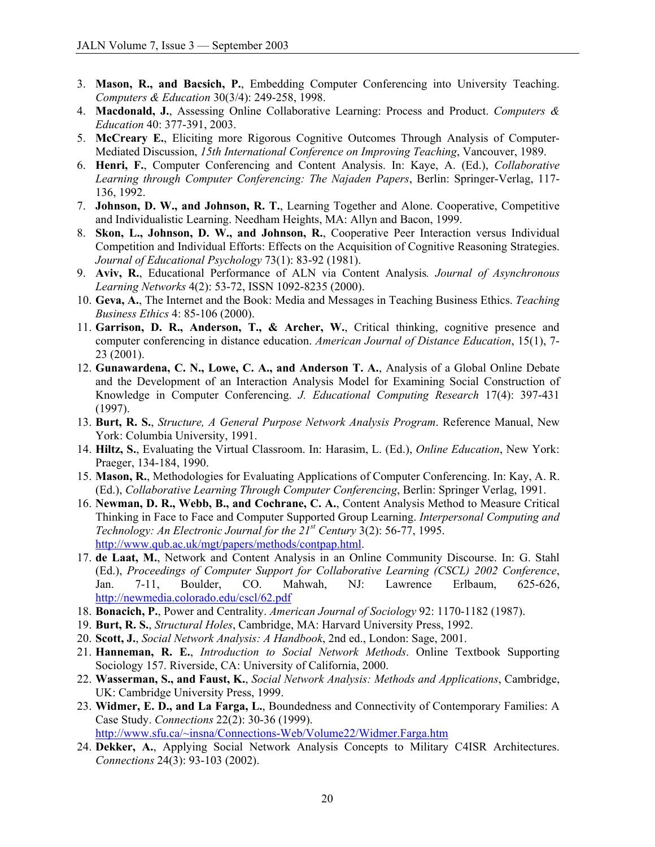- 3. **Mason, R., and Bacsich, P.**, Embedding Computer Conferencing into University Teaching. *Computers & Education* 30(3/4): 249-258, 1998.
- 4. **Macdonald, J.**, Assessing Online Collaborative Learning: Process and Product. *Computers & Education* 40: 377-391, 2003.
- 5. **McCreary E.**, Eliciting more Rigorous Cognitive Outcomes Through Analysis of Computer-Mediated Discussion, *15th International Conference on Improving Teaching*, Vancouver, 1989.
- 6. **Henri, F.**, Computer Conferencing and Content Analysis. In: Kaye, A. (Ed.), *Collaborative Learning through Computer Conferencing: The Najaden Papers*, Berlin: Springer-Verlag, 117- 136, 1992.
- 7. **Johnson, D. W., and Johnson, R. T.**, Learning Together and Alone. Cooperative, Competitive and Individualistic Learning. Needham Heights, MA: Allyn and Bacon, 1999.
- 8. **Skon, L., Johnson, D. W., and Johnson, R.**, Cooperative Peer Interaction versus Individual Competition and Individual Efforts: Effects on the Acquisition of Cognitive Reasoning Strategies. *Journal of Educational Psychology* 73(1): 83-92 (1981).
- 9. **Aviv, R.**, Educational Performance of ALN via Content Analysis*. Journal of Asynchronous Learning Networks* 4(2): 53-72, ISSN 1092-8235 (2000).
- 10. **Geva, A.**, The Internet and the Book: Media and Messages in Teaching Business Ethics. *Teaching Business Ethics* 4: 85-106 (2000).
- 11. **Garrison, D. R., Anderson, T., & Archer, W.**, Critical thinking, cognitive presence and computer conferencing in distance education. *American Journal of Distance Education*, 15(1), 7- 23 (2001).
- 12. **Gunawardena, C. N., Lowe, C. A., and Anderson T. A.**, Analysis of a Global Online Debate and the Development of an Interaction Analysis Model for Examining Social Construction of Knowledge in Computer Conferencing. *J. Educational Computing Research* 17(4): 397-431 (1997).
- 13. **Burt, R. S.**, *Structure, A General Purpose Network Analysis Program*. Reference Manual, New York: Columbia University, 1991.
- 14. **Hiltz, S.**, Evaluating the Virtual Classroom. In: Harasim, L. (Ed.), *Online Education*, New York: Praeger, 134-184, 1990.
- 15. **Mason, R.**, Methodologies for Evaluating Applications of Computer Conferencing. In: Kay, A. R. (Ed.), *Collaborative Learning Through Computer Conferencing*, Berlin: Springer Verlag, 1991.
- 16. **Newman, D. R., Webb, B., and Cochrane, C. A.**, Content Analysis Method to Measure Critical Thinking in Face to Face and Computer Supported Group Learning. *Interpersonal Computing and Technology: An Electronic Journal for the 21st Century* 3(2): 56-77, 1995. [http://www.qub.ac.uk/mgt/papers/methods/contpap.html.](http://www.qub.ac.uk/mgt/papers/methods/contpap.html)
- 17. **de Laat, M.**, Network and Content Analysis in an Online Community Discourse. In: G. Stahl (Ed.), *Proceedings of Computer Support for Collaborative Learning (CSCL) 2002 Conference*, Jan. 7-11, Boulder, CO. Mahwah, NJ: Lawrence Erlbaum, 625-626, <http://newmedia.colorado.edu/cscl/62.pdf>
- 18. **Bonacich, P.**, Power and Centrality. *American Journal of Sociology* 92: 1170-1182 (1987).
- 19. **Burt, R. S.**, *Structural Holes*, Cambridge, MA: Harvard University Press, 1992.
- 20. **Scott, J.**, *Social Network Analysis: A Handbook*, 2nd ed., London: Sage, 2001.
- 21. **Hanneman, R. E.**, *Introduction to Social Network Methods*. Online Textbook Supporting Sociology 157. Riverside, CA: University of California, 2000.
- 22. **Wasserman, S., and Faust, K.**, *Social Network Analysis: Methods and Applications*, Cambridge, UK: Cambridge University Press, 1999.
- 23. **Widmer, E. D., and La Farga, L.**, Boundedness and Connectivity of Contemporary Families: A Case Study. *Connections* 22(2): 30-36 (1999).

<http://www.sfu.ca/~insna/Connections-Web/Volume22/Widmer.Farga.htm>

24. **Dekker, A.**, Applying Social Network Analysis Concepts to Military C4ISR Architectures. *Connections* 24(3): 93-103 (2002).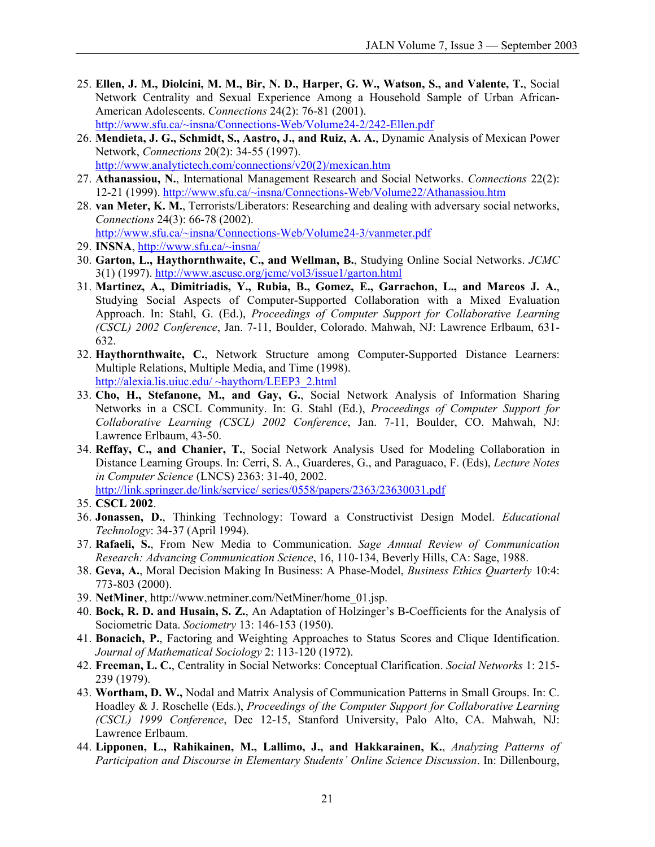- 25. **Ellen, J. M., Diolcini, M. M., Bir, N. D., Harper, G. W., Watson, S., and Valente, T.**, Social Network Centrality and Sexual Experience Among a Household Sample of Urban African-American Adolescents. *Connections* 24(2): 76-81 (2001). <http://www.sfu.ca/~insna/Connections-Web/Volume24-2/242-Ellen.pdf>
- 26. **Mendieta, J. G., Schmidt, S., Aastro, J., and Ruiz, A. A.**, Dynamic Analysis of Mexican Power Network, *Connections* 20(2): 34-55 (1997). [http://www.analytictech.com/connections/v20\(2\)/mexican.htm](http://www.analytictech.com/connections/v20(2)/mexican.htm)
- 27. **Athanassiou, N.**, International Management Research and Social Networks. *Connections* 22(2): 12-21 (1999). <http://www.sfu.ca/~insna/Connections-Web/Volume22/Athanassiou.htm>
- 28. **van Meter, K. M.**, Terrorists/Liberators: Researching and dealing with adversary social networks, *Connections* 24(3): 66-78 (2002). <http://www.sfu.ca/~insna/Connections-Web/Volume24-3/vanmeter.pdf>
- 29. **INSNA**, <http://www.sfu.ca/~insna/>
- 30. **Garton, L., Haythornthwaite, C., and Wellman, B.**, Studying Online Social Networks. *JCMC* 3(1) (1997).<http://www.ascusc.org/jcmc/vol3/issue1/garton.html>
- 31. **Martinez, A., Dimitriadis, Y., Rubia, B., Gomez, E., Garrachon, L., and Marcos J. A.**, Studying Social Aspects of Computer-Supported Collaboration with a Mixed Evaluation Approach. In: Stahl, G. (Ed.), *Proceedings of Computer Support for Collaborative Learning (CSCL) 2002 Conference*, Jan. 7-11, Boulder, Colorado. Mahwah, NJ: Lawrence Erlbaum, 631- 632.
- 32. **Haythornthwaite, C.**, Network Structure among Computer-Supported Distance Learners: Multiple Relations, Multiple Media, and Time (1998). <http://alexia.lis.uiuc.edu/> ~haythorn/LEEP3\_2.html
- 33. **Cho, H., Stefanone, M., and Gay, G.**, Social Network Analysis of Information Sharing Networks in a CSCL Community. In: G. Stahl (Ed.), *Proceedings of Computer Support for Collaborative Learning (CSCL) 2002 Conference*, Jan. 7-11, Boulder, CO. Mahwah, NJ: Lawrence Erlbaum, 43-50.
- 34. **Reffay, C., and Chanier, T.**, Social Network Analysis Used for Modeling Collaboration in Distance Learning Groups. In: Cerri, S. A., Guarderes, G., and Paraguaco, F. (Eds), *Lecture Notes in Computer Science* (LNCS) 2363: 31-40, 2002.

<http://link.springer.de/link/service/> series/0558/papers/2363/23630031.pdf

- 35. **CSCL 2002**.
- 36. **Jonassen, D.**, Thinking Technology: Toward a Constructivist Design Model. *Educational Technology*: 34-37 (April 1994).
- 37. **Rafaeli, S.**, From New Media to Communication. *Sage Annual Review of Communication Research: Advancing Communication Science*, 16, 110-134, Beverly Hills, CA: Sage, 1988.
- 38. **Geva, A.**, Moral Decision Making In Business: A Phase-Model, *Business Ethics Quarterly* 10:4: 773-803 (2000).
- 39. **NetMiner**, [http://www.netminer.com/NetMiner/home\\_01.jsp.](http://www.netminer.com/NetMiner/home_01.jsp)
- 40. **Bock, R. D. and Husain, S. Z.**, An Adaptation of Holzinger's B-Coefficients for the Analysis of Sociometric Data. *Sociometry* 13: 146-153 (1950).
- 41. **Bonacich, P.**, Factoring and Weighting Approaches to Status Scores and Clique Identification. *Journal of Mathematical Sociology* 2: 113-120 (1972).
- 42. **Freeman, L. C.**, Centrality in Social Networks: Conceptual Clarification. *Social Networks* 1: 215- 239 (1979).
- 43. **Wortham, D. W.,** Nodal and Matrix Analysis of Communication Patterns in Small Groups. In: C. Hoadley & J. Roschelle (Eds.), *Proceedings of the Computer Support for Collaborative Learning (CSCL) 1999 Conference*, Dec 12-15, Stanford University, Palo Alto, CA. Mahwah, NJ: Lawrence Erlbaum.
- 44. **Lipponen, L., Rahikainen, M., Lallimo, J., and Hakkarainen, K.**, *Analyzing Patterns of Participation and Discourse in Elementary Students' Online Science Discussion*. In: Dillenbourg,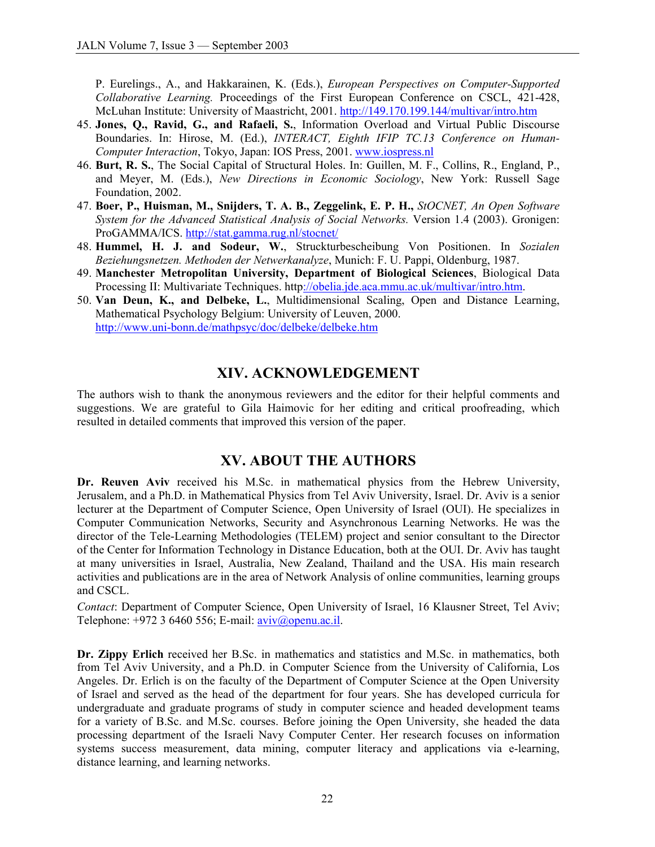P. Eurelings., A., and Hakkarainen, K. (Eds.), *European Perspectives on Computer-Supported Collaborative Learning.* Proceedings of the First European Conference on CSCL, 421-428, McLuhan Institute: University of Maastricht, 2001. <http://149.170.199.144/multivar/intro.htm>

- 45. **Jones, Q., Ravid, G., and Rafaeli, S.**, Information Overload and Virtual Public Discourse Boundaries. In: Hirose, M. (Ed.), *INTERACT, Eighth IFIP TC.13 Conference on Human-Computer Interaction*, Tokyo, Japan: IOS Press, 2001. www.iospress.nl
- 46. **Burt, R. S.**, The Social Capital of Structural Holes. In: Guillen, M. F., Collins, R., England, P., and Meyer, M. (Eds.), *New Directions in Economic Sociology*, New York: Russell Sage Foundation, 2002.
- 47. **Boer, P., Huisman, M., Snijders, T. A. B., Zeggelink, E. P. H.,** *StOCNET, An Open Software System for the Advanced Statistical Analysis of Social Networks.* Version 1.4 (2003). Gronigen: ProGAMMA/ICS. <http://stat.gamma.rug.nl/stocnet/>
- 48. **Hummel, H. J. and Sodeur, W.**, Struckturbescheibung Von Positionen. In *Sozialen Beziehungsnetzen. Methoden der Netwerkanalyze*, Munich: F. U. Pappi, Oldenburg, 1987.
- 49. **Manchester Metropolitan University, Department of Biological Sciences**, Biological Data Processing II: Multivariate Techniques. [http://obelia.jde.aca.mmu.ac.uk/multivar/intro.htm.](http://obelia.jde.aca.mmu.ac.uk/multivar/intro.htm)
- 50. **Van Deun, K., and Delbeke, L.**, Multidimensional Scaling, Open and Distance Learning, Mathematical Psychology Belgium: University of Leuven, 2000. <http://www.uni-bonn.de/mathpsyc/doc/delbeke/delbeke.htm>

# **XIV. ACKNOWLEDGEMENT**

The authors wish to thank the anonymous reviewers and the editor for their helpful comments and suggestions. We are grateful to Gila Haimovic for her editing and critical proofreading, which resulted in detailed comments that improved this version of the paper.

## **XV. ABOUT THE AUTHORS**

Dr. Reuven Aviv received his M.Sc. in mathematical physics from the Hebrew University, Jerusalem, and a Ph.D. in Mathematical Physics from Tel Aviv University, Israel. Dr. Aviv is a senior lecturer at the Department of Computer Science, Open University of Israel (OUI). He specializes in Computer Communication Networks, Security and Asynchronous Learning Networks. He was the director of the Tele-Learning Methodologies (TELEM) project and senior consultant to the Director of the Center for Information Technology in Distance Education, both at the OUI. Dr. Aviv has taught at many universities in Israel, Australia, New Zealand, Thailand and the USA. His main research activities and publications are in the area of Network Analysis of online communities, learning groups and CSCL.

*Contact*: Department of Computer Science, Open University of Israel, 16 Klausner Street, Tel Aviv; Telephone:  $+972$  3 6460 556; E-mail: aviv@openu.ac.il.

**Dr. Zippy Erlich** received her B.Sc. in mathematics and statistics and M.Sc. in mathematics, both from Tel Aviv University, and a Ph.D. in Computer Science from the University of California, Los Angeles. Dr. Erlich is on the faculty of the Department of Computer Science at the Open University of Israel and served as the head of the department for four years. She has developed curricula for undergraduate and graduate programs of study in computer science and headed development teams for a variety of B.Sc. and M.Sc. courses. Before joining the Open University, she headed the data processing department of the Israeli Navy Computer Center. Her research focuses on information systems success measurement, data mining, computer literacy and applications via e-learning, distance learning, and learning networks.